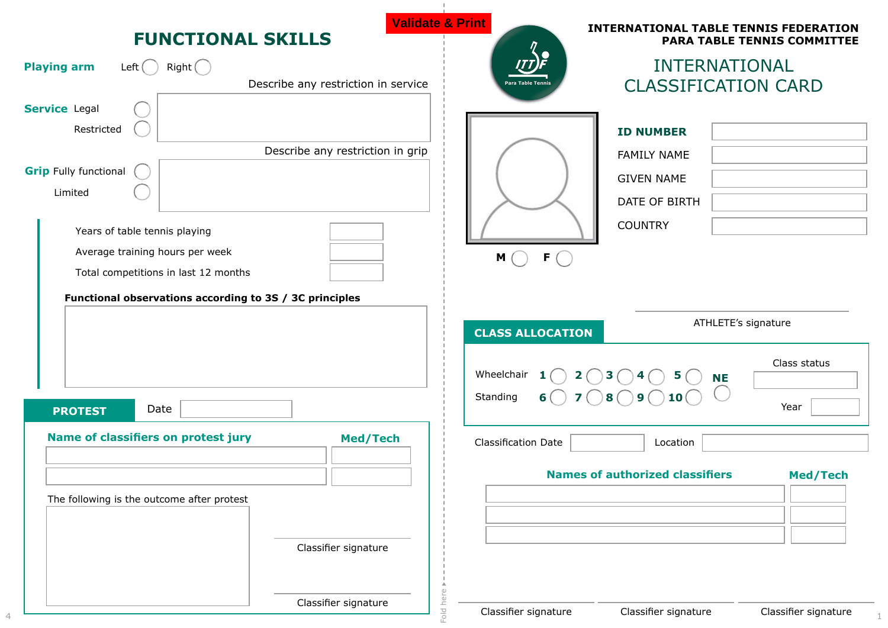| <b>FUNCTIONAL SKILLS</b>                                                                               | <b>PARA TABLE TENNIS COMMITTEE</b>                                                                       |
|--------------------------------------------------------------------------------------------------------|----------------------------------------------------------------------------------------------------------|
| <b>Playing arm</b><br>Right()<br>Left (                                                                | <b>INTERNATIONAL</b>                                                                                     |
| Describe any restriction in service                                                                    | <b>CLASSIFICATION CARD</b><br>ra Table Teni                                                              |
| <b>Service Legal</b><br>Restricted<br>Describe any restriction in grip<br><b>Grip Fully functional</b> | <b>ID NUMBER</b><br><b>FAMILY NAME</b><br><b>GIVEN NAME</b>                                              |
| Limited                                                                                                | DATE OF BIRTH                                                                                            |
|                                                                                                        | <b>COUNTRY</b>                                                                                           |
| Years of table tennis playing                                                                          |                                                                                                          |
| Average training hours per week                                                                        | $F$ $\bigcap$<br>M                                                                                       |
| Total competitions in last 12 months                                                                   |                                                                                                          |
| Functional observations according to 3S / 3C principles                                                |                                                                                                          |
|                                                                                                        | ATHLETE's signature                                                                                      |
|                                                                                                        |                                                                                                          |
|                                                                                                        | <b>CLASS ALLOCATION</b>                                                                                  |
|                                                                                                        | Class status<br>Wheelchair $1$ $\bigcirc$ $2$ $\bigcirc$ $3$ $\bigcirc$ $4$ $\bigcirc$ $5$ $\bigcirc$ NE |
| Date<br><b>PROTEST</b>                                                                                 | $6$ $7$ $\bigcirc$ $8$ $\bigcirc$ $9$ $\bigcirc$ $10$ $\bigcirc$<br>Standing<br>Year                     |
| Name of classifiers on protest jury                                                                    | <b>Med/Tech</b><br><b>Classification Date</b><br>Location                                                |
|                                                                                                        | <b>Names of authorized classifiers</b><br>Med/Tech                                                       |
| The following is the outcome after protest                                                             |                                                                                                          |
|                                                                                                        |                                                                                                          |
| Classifier signature                                                                                   |                                                                                                          |